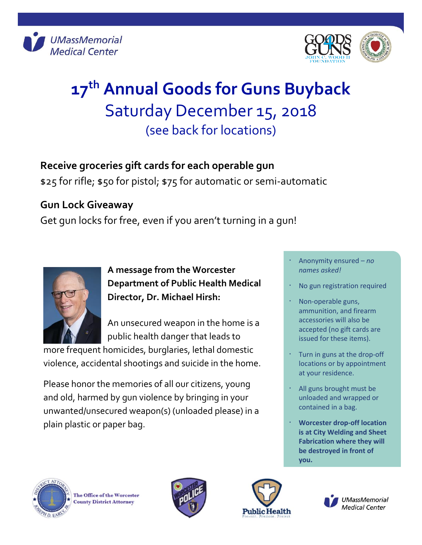



## **17 th Annual Goods for Guns Buyback** Saturday December 15, 2018 (see back for locations)

## **Receive groceries gift cards for each operable gun**

\$25 for rifle; \$50 for pistol; \$75 for automatic or semi-automatic

## **Gun Lock Giveaway**

Get gun locks for free, even if you aren't turning in a gun!



**A message from the Worcester Department of Public Health Medical Director, Dr. Michael Hirsh:**

An unsecured weapon in the home is a public health danger that leads to

more frequent homicides, burglaries, lethal domestic violence, accidental shootings and suicide in the home.

Please honor the memories of all our citizens, young and old, harmed by gun violence by bringing in your unwanted/unsecured weapon(s) (unloaded please) in a plain plastic or paper bag.

- ㆍ Anonymity ensured *no names asked!*
- No gun registration required
- Non-operable guns, ammunition, and firearm accessories will also be accepted (no gift cards are issued for these items).
- ㆍ Turn in guns at the drop-off locations or by appointment at your residence.
- All guns brought must be unloaded and wrapped or contained in a bag.
- ㆍ **Worcester drop-off location is at City Welding and Sheet Fabrication where they will be destroyed in front of you.**



The Office of the Worcester **County District Attorney**